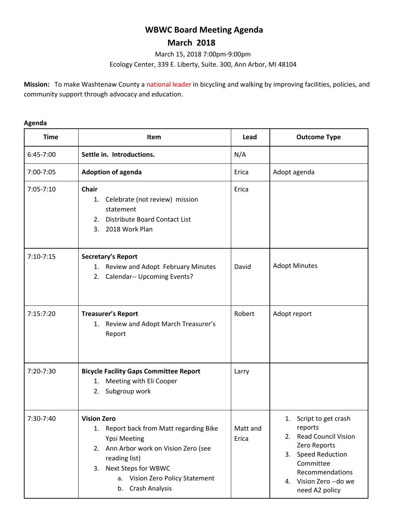# **WBWC Board Meeting Agenda**

## **March 2018**

March 15, 2018 7:00pm-9:00pm Ecology Center, 339 E. Liberty, Suite. 300, Ann Arbor, MI 48104

**Mission:** To make Washtenaw County a national leader in bicycling and walking by improving facilities, policies, and community support through advocacy and education.

#### **Agenda**

| <b>Time</b>   | <b>Item</b>                                                                                                                                                                                                                                         | Lead              | <b>Outcome Type</b>                                                                                                                                                            |
|---------------|-----------------------------------------------------------------------------------------------------------------------------------------------------------------------------------------------------------------------------------------------------|-------------------|--------------------------------------------------------------------------------------------------------------------------------------------------------------------------------|
| 6:45-7:00     | Settle in. Introductions.                                                                                                                                                                                                                           | N/A               |                                                                                                                                                                                |
| 7:00-7:05     | <b>Adoption of agenda</b>                                                                                                                                                                                                                           | Erica             | Adopt agenda                                                                                                                                                                   |
| $7:05 - 7:10$ | <b>Chair</b><br>Celebrate (not review) mission<br>1.<br>statement<br>Distribute Board Contact List<br>2.<br>2018 Work Plan<br>3.                                                                                                                    | Erica             |                                                                                                                                                                                |
| $7:10-7:15$   | Secretary's Report<br>1. Review and Adopt February Minutes<br><b>Calendar-- Upcoming Events?</b><br>2.                                                                                                                                              | David             | <b>Adopt Minutes</b>                                                                                                                                                           |
| 7:15:7:20     | <b>Treasurer's Report</b><br>1. Review and Adopt March Treasurer's<br>Report                                                                                                                                                                        | Robert            | Adopt report                                                                                                                                                                   |
| 7:20-7:30     | <b>Bicycle Facility Gaps Committee Report</b><br>Meeting with Eli Cooper<br>1.<br>Subgroup work<br>2.                                                                                                                                               | Larry             |                                                                                                                                                                                |
| 7:30-7:40     | <b>Vision Zero</b><br>Report back from Matt regarding Bike<br>1.<br><b>Ypsi Meeting</b><br>Ann Arbor work on Vision Zero (see<br>2.<br>reading list)<br>Next Steps for WBWC<br>3.<br>a. Vision Zero Policy Statement<br><b>Crash Analysis</b><br>b. | Matt and<br>Erica | 1. Script to get crash<br>reports<br>2. Read Council Vision<br>Zero Reports<br>3. Speed Reduction<br>Committee<br>Recommendations<br>4. Vision Zero -- do we<br>need A2 policy |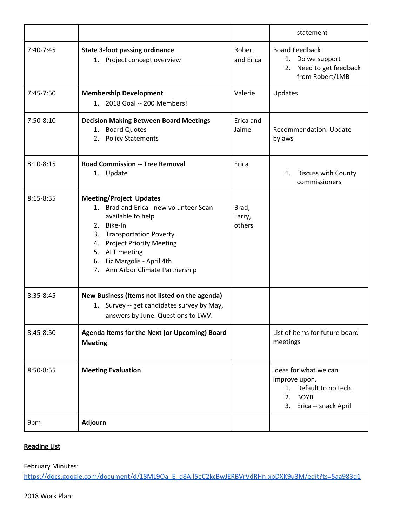|               |                                                                                                                                                                                                                                                                                     |                           | statement                                                                                                              |
|---------------|-------------------------------------------------------------------------------------------------------------------------------------------------------------------------------------------------------------------------------------------------------------------------------------|---------------------------|------------------------------------------------------------------------------------------------------------------------|
| 7:40-7:45     | <b>State 3-foot passing ordinance</b><br>1. Project concept overview                                                                                                                                                                                                                | Robert<br>and Erica       | <b>Board Feedback</b><br>1. Do we support<br>Need to get feedback<br>2.<br>from Robert/LMB                             |
| 7:45-7:50     | <b>Membership Development</b><br>2018 Goal -- 200 Members!<br>$1_{-}$                                                                                                                                                                                                               | Valerie                   | Updates                                                                                                                |
| 7:50-8:10     | <b>Decision Making Between Board Meetings</b><br>1. Board Quotes<br>2. Policy Statements                                                                                                                                                                                            | Erica and<br>Jaime        | Recommendation: Update<br>bylaws                                                                                       |
| $8:10 - 8:15$ | <b>Road Commission -- Tree Removal</b><br>1. Update                                                                                                                                                                                                                                 | Erica                     | Discuss with County<br>1.<br>commissioners                                                                             |
| $8:15 - 8:35$ | <b>Meeting/Project Updates</b><br>1. Brad and Erica - new volunteer Sean<br>available to help<br>2. Bike-In<br><b>Transportation Poverty</b><br>3.<br><b>Project Priority Meeting</b><br>4.<br>5. ALT meeting<br>6. Liz Margolis - April 4th<br>Ann Arbor Climate Partnership<br>7. | Brad,<br>Larry,<br>others |                                                                                                                        |
| 8:35-8:45     | New Business (Items not listed on the agenda)<br>1. Survey -- get candidates survey by May,<br>answers by June. Questions to LWV.                                                                                                                                                   |                           |                                                                                                                        |
| 8:45-8:50     | Agenda Items for the Next (or Upcoming) Board<br><b>Meeting</b>                                                                                                                                                                                                                     |                           | List of items for future board<br>meetings                                                                             |
| 8:50-8:55     | <b>Meeting Evaluation</b>                                                                                                                                                                                                                                                           |                           | Ideas for what we can<br>improve upon.<br>Default to no tech.<br>1.<br><b>BOYB</b><br>2.<br>Erica -- snack April<br>3. |
| 9pm           | <b>Adjourn</b>                                                                                                                                                                                                                                                                      |                           |                                                                                                                        |

## **Reading List**

## February Minutes:

[https://docs.google.com/document/d/18ML9Oa\\_E\\_d8AIl5eC2kcBwJERBVrVdRHn-xpDXK9u3M/edit?ts=5aa983d1](https://docs.google.com/document/d/18ML9Oa_E_d8AIl5eC2kcBwJERBVrVdRHn-xpDXK9u3M/edit?ts=5aa983d1)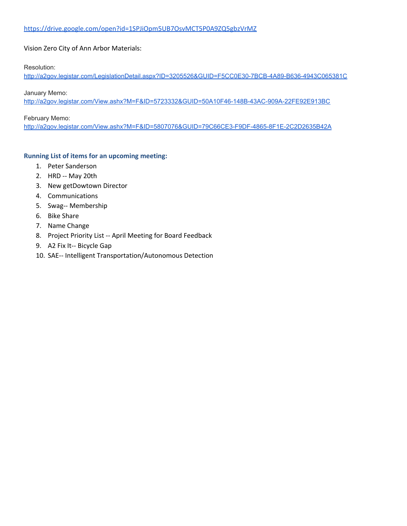## Vision Zero City of Ann Arbor Materials:

Resolution:

<http://a2gov.legistar.com/LegislationDetail.aspx?ID=3205526&GUID=F5CC0E30-7BCB-4A89-B636-4943C065381C>

January Memo: <http://a2gov.legistar.com/View.ashx?M=F&ID=5723332&GUID=50A10F46-148B-43AC-909A-22FE92E913BC>

#### February Memo:

<http://a2gov.legistar.com/View.ashx?M=F&ID=5807076&GUID=79C66CE3-F9DF-4865-8F1E-2C2D2635B42A>

## **Running List of items for an upcoming meeting:**

- 1. Peter Sanderson
- 2. HRD -- May 20th
- 3. New getDowtown Director
- 4. Communications
- 5. Swag-- Membership
- 6. Bike Share
- 7. Name Change
- 8. Project Priority List -- April Meeting for Board Feedback
- 9. A2 Fix It-- Bicycle Gap
- 10. SAE-- Intelligent Transportation/Autonomous Detection